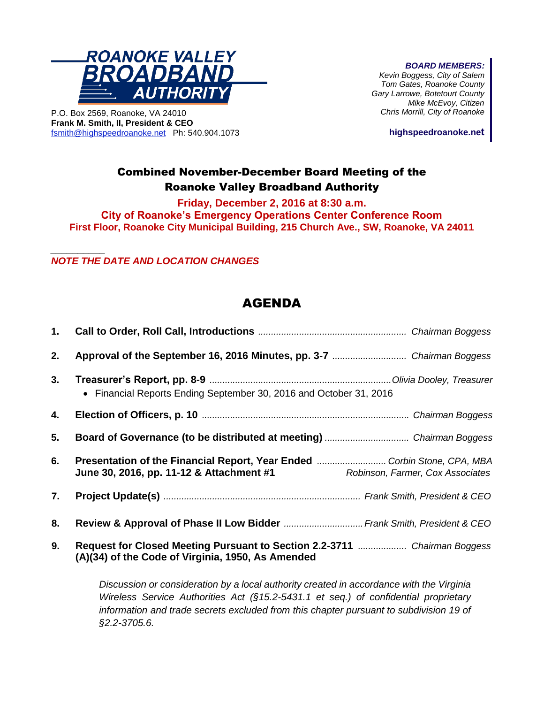

P.O. Box 2569, Roanoke, VA 24010 **Frank M. Smith, II, President & CEO** [fsmith@highspeedroanoke.net](mailto:fsmith@highspeedroanoke.net) Ph: 540.904.1073 *BOARD MEMBERS:*

*Kevin Boggess, City of Salem Tom Gates, Roanoke County Gary Larrowe, Botetourt County Mike McEvoy, Citizen Chris Morrill, City of Roanoke*

**highspeedroanoke.net**

## Combined November-December Board Meeting of the Roanoke Valley Broadband Authority

**Friday, December 2, 2016 at 8:30 a.m.**

**City of Roanoke's Emergency Operations Center Conference Room First Floor, Roanoke City Municipal Building, 215 Church Ave., SW, Roanoke, VA 24011**

*\_\_\_\_\_\_\_\_\_\_ NOTE THE DATE AND LOCATION CHANGES*

## AGENDA

| 1. |                                                                                                                                |
|----|--------------------------------------------------------------------------------------------------------------------------------|
| 2. |                                                                                                                                |
| 3. | • Financial Reports Ending September 30, 2016 and October 31, 2016                                                             |
| 4. |                                                                                                                                |
| 5. |                                                                                                                                |
| 6. | June 30, 2016, pp. 11-12 & Attachment #1 Robinson, Farmer, Cox Associates                                                      |
| 7. |                                                                                                                                |
| 8. |                                                                                                                                |
| 9. | Request for Closed Meeting Pursuant to Section 2.2-3711  Chairman Boggess<br>(A)(34) of the Code of Virginia, 1950, As Amended |

*Discussion or consideration by a local authority created in accordance with the Virginia Wireless Service Authorities Act (§15.2-5431.1 et seq.) of confidential proprietary information and trade secrets excluded from this chapter pursuant to subdivision 19 of §2.2-3705.6.*